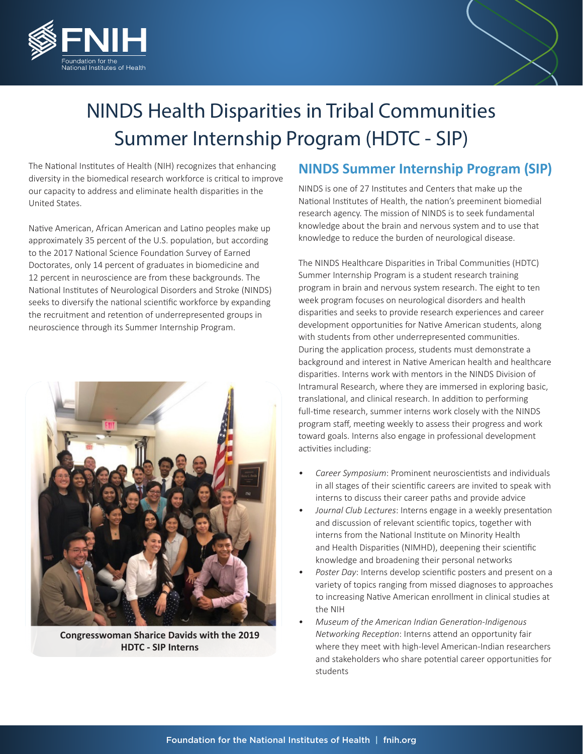



## NINDS Health Disparities in Tribal Communities Summer Internship Program (HDTC - SIP)

The National Institutes of Health (NIH) recognizes that enhancing diversity in the biomedical research workforce is critical to improve our capacity to address and eliminate health disparities in the United States.

Native American, African American and Latino peoples make up approximately 35 percent of the U.S. population, but according to the 2017 National Science Foundation Survey of Earned Doctorates, only 14 percent of graduates in biomedicine and 12 percent in neuroscience are from these backgrounds. The National Institutes of Neurological Disorders and Stroke (NINDS) seeks to diversify the national scientific workforce by expanding the recruitment and retention of underrepresented groups in neuroscience through its Summer Internship Program.



**Congresswoman Sharice Davids with the 2019 HDTC - SIP Interns**

## **NINDS Summer Internship Program (SIP)**

NINDS is one of 27 Institutes and Centers that make up the National Institutes of Health, the nation's preeminent biomedial research agency. The mission of NINDS is to seek fundamental knowledge about the brain and nervous system and to use that knowledge to reduce the burden of neurological disease.

The NINDS Healthcare Disparities in Tribal Communities (HDTC) Summer Internship Program is a student research training program in brain and nervous system research. The eight to ten week program focuses on neurological disorders and health disparities and seeks to provide research experiences and career development opportunities for Native American students, along with students from other underrepresented communities. During the application process, students must demonstrate a background and interest in Native American health and healthcare disparities. Interns work with mentors in the NINDS Division of Intramural Research, where they are immersed in exploring basic, translational, and clinical research. In addition to performing full-time research, summer interns work closely with the NINDS program staff, meeting weekly to assess their progress and work toward goals. Interns also engage in professional development activities including:

- *• Career Symposium*: Prominent neuroscientists and individuals in all stages of their scientific careers are invited to speak with interns to discuss their career paths and provide advice
- *• Journal Club Lectures*: Interns engage in a weekly presentation and discussion of relevant scientific topics, together with interns from the National Institute on Minority Health and Health Disparities (NIMHD), deepening their scientific knowledge and broadening their personal networks
- *• Poster Day*: Interns develop scientific posters and present on a variety of topics ranging from missed diagnoses to approaches to increasing Native American enrollment in clinical studies at the NIH
- *• Museum of the American Indian Generation-Indigenous Networking Reception*: Interns attend an opportunity fair where they meet with high-level American-Indian researchers and stakeholders who share potential career opportunities for students